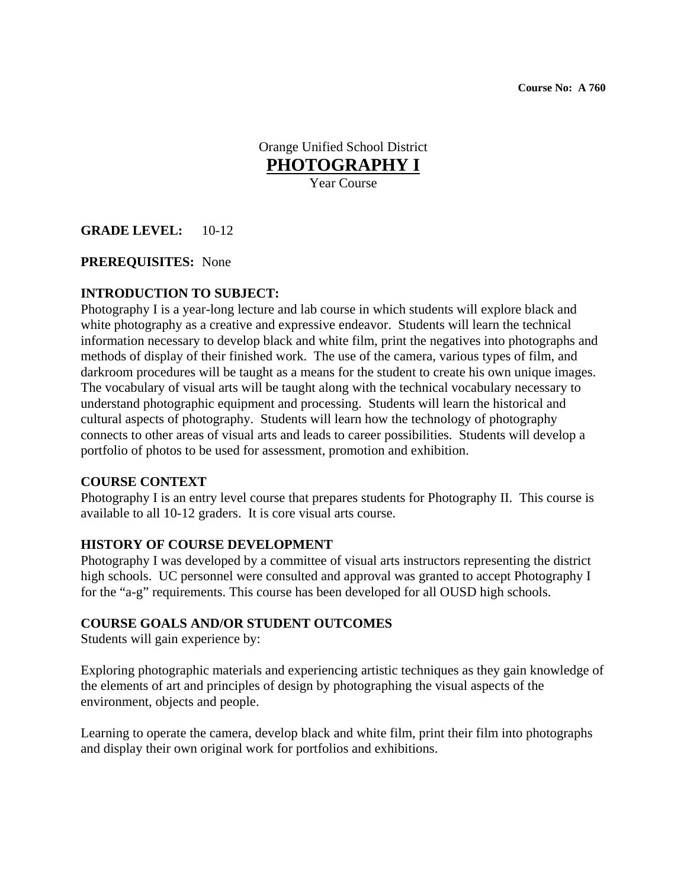**Course No: A 760** 

Orange Unified School District **PHOTOGRAPHY I** Year Course

## **GRADE LEVEL:** 10-12

#### **PREREQUISITES:** None

## **INTRODUCTION TO SUBJECT:**

Photography I is a year-long lecture and lab course in which students will explore black and white photography as a creative and expressive endeavor. Students will learn the technical information necessary to develop black and white film, print the negatives into photographs and methods of display of their finished work. The use of the camera, various types of film, and darkroom procedures will be taught as a means for the student to create his own unique images. The vocabulary of visual arts will be taught along with the technical vocabulary necessary to understand photographic equipment and processing. Students will learn the historical and cultural aspects of photography. Students will learn how the technology of photography connects to other areas of visual arts and leads to career possibilities. Students will develop a portfolio of photos to be used for assessment, promotion and exhibition.

#### **COURSE CONTEXT**

Photography I is an entry level course that prepares students for Photography II. This course is available to all 10-12 graders. It is core visual arts course.

#### **HISTORY OF COURSE DEVELOPMENT**

Photography I was developed by a committee of visual arts instructors representing the district high schools. UC personnel were consulted and approval was granted to accept Photography I for the "a-g" requirements. This course has been developed for all OUSD high schools.

#### **COURSE GOALS AND/OR STUDENT OUTCOMES**

Students will gain experience by:

Exploring photographic materials and experiencing artistic techniques as they gain knowledge of the elements of art and principles of design by photographing the visual aspects of the environment, objects and people.

Learning to operate the camera, develop black and white film, print their film into photographs and display their own original work for portfolios and exhibitions.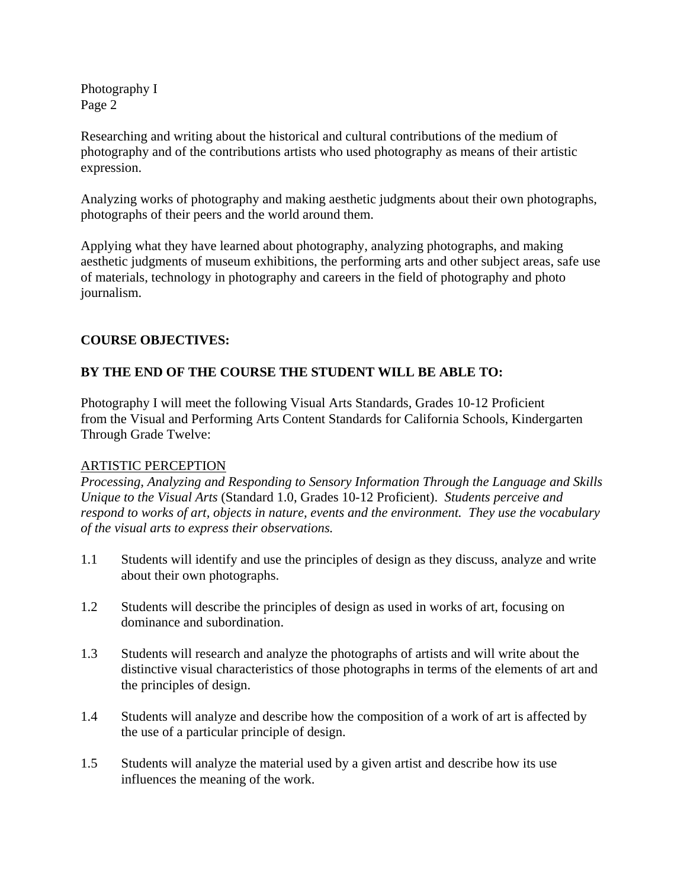Researching and writing about the historical and cultural contributions of the medium of photography and of the contributions artists who used photography as means of their artistic expression.

Analyzing works of photography and making aesthetic judgments about their own photographs, photographs of their peers and the world around them.

Applying what they have learned about photography, analyzing photographs, and making aesthetic judgments of museum exhibitions, the performing arts and other subject areas, safe use of materials, technology in photography and careers in the field of photography and photo journalism.

# **COURSE OBJECTIVES:**

# **BY THE END OF THE COURSE THE STUDENT WILL BE ABLE TO:**

Photography I will meet the following Visual Arts Standards, Grades 10-12 Proficient from the Visual and Performing Arts Content Standards for California Schools, Kindergarten Through Grade Twelve:

## ARTISTIC PERCEPTION

*Processing, Analyzing and Responding to Sensory Information Through the Language and Skills Unique to the Visual Arts* (Standard 1.0, Grades 10-12 Proficient). *Students perceive and respond to works of art, objects in nature, events and the environment. They use the vocabulary of the visual arts to express their observations.* 

- 1.1 Students will identify and use the principles of design as they discuss, analyze and write about their own photographs.
- 1.2 Students will describe the principles of design as used in works of art, focusing on dominance and subordination.
- 1.3 Students will research and analyze the photographs of artists and will write about the distinctive visual characteristics of those photographs in terms of the elements of art and the principles of design.
- 1.4 Students will analyze and describe how the composition of a work of art is affected by the use of a particular principle of design.
- 1.5 Students will analyze the material used by a given artist and describe how its use influences the meaning of the work.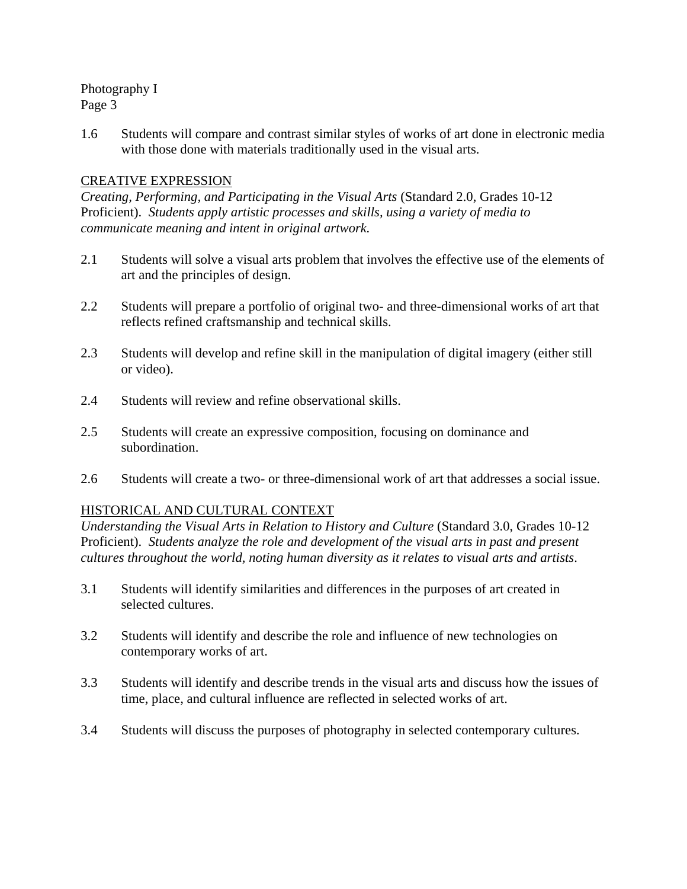1.6 Students will compare and contrast similar styles of works of art done in electronic media with those done with materials traditionally used in the visual arts.

# CREATIVE EXPRESSION

*Creating, Performing, and Participating in the Visual Arts* (Standard 2.0, Grades 10-12 Proficient). *Students apply artistic processes and skills, using a variety of media to communicate meaning and intent in original artwork.* 

- 2.1 Students will solve a visual arts problem that involves the effective use of the elements of art and the principles of design.
- 2.2 Students will prepare a portfolio of original two- and three-dimensional works of art that reflects refined craftsmanship and technical skills.
- 2.3 Students will develop and refine skill in the manipulation of digital imagery (either still or video).
- 2.4 Students will review and refine observational skills.
- 2.5 Students will create an expressive composition, focusing on dominance and subordination.
- 2.6 Students will create a two- or three-dimensional work of art that addresses a social issue.

## HISTORICAL AND CULTURAL CONTEXT

*Understanding the Visual Arts in Relation to History and Culture* (Standard 3.0, Grades 10-12 Proficient). *Students analyze the role and development of the visual arts in past and present cultures throughout the world, noting human diversity as it relates to visual arts and artists*.

- 3.1 Students will identify similarities and differences in the purposes of art created in selected cultures.
- 3.2 Students will identify and describe the role and influence of new technologies on contemporary works of art.
- 3.3 Students will identify and describe trends in the visual arts and discuss how the issues of time, place, and cultural influence are reflected in selected works of art.
- 3.4 Students will discuss the purposes of photography in selected contemporary cultures.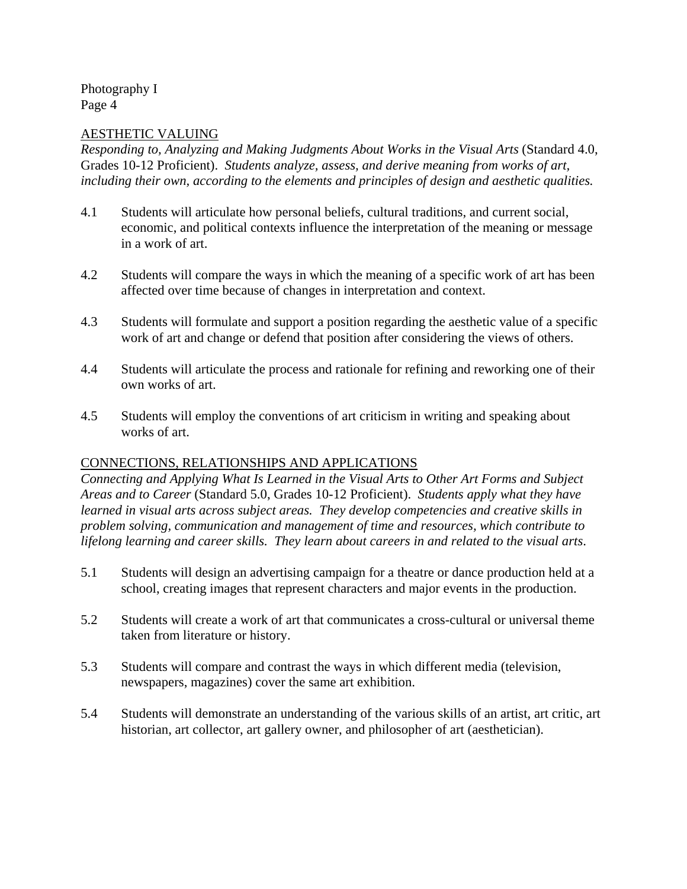## AESTHETIC VALUING

*Responding to, Analyzing and Making Judgments About Works in the Visual Arts* (Standard 4.0, Grades 10-12 Proficient). *Students analyze, assess, and derive meaning from works of art, including their own, according to the elements and principles of design and aesthetic qualities.* 

- 4.1 Students will articulate how personal beliefs, cultural traditions, and current social, economic, and political contexts influence the interpretation of the meaning or message in a work of art.
- 4.2 Students will compare the ways in which the meaning of a specific work of art has been affected over time because of changes in interpretation and context.
- 4.3 Students will formulate and support a position regarding the aesthetic value of a specific work of art and change or defend that position after considering the views of others.
- 4.4 Students will articulate the process and rationale for refining and reworking one of their own works of art.
- 4.5 Students will employ the conventions of art criticism in writing and speaking about works of art.

## CONNECTIONS, RELATIONSHIPS AND APPLICATIONS

*Connecting and Applying What Is Learned in the Visual Arts to Other Art Forms and Subject Areas and to Career* (Standard 5.0, Grades 10-12 Proficient). *Students apply what they have learned in visual arts across subject areas. They develop competencies and creative skills in problem solving, communication and management of time and resources, which contribute to lifelong learning and career skills. They learn about careers in and related to the visual arts*.

- 5.1 Students will design an advertising campaign for a theatre or dance production held at a school, creating images that represent characters and major events in the production.
- 5.2 Students will create a work of art that communicates a cross-cultural or universal theme taken from literature or history.
- 5.3 Students will compare and contrast the ways in which different media (television, newspapers, magazines) cover the same art exhibition.
- 5.4 Students will demonstrate an understanding of the various skills of an artist, art critic, art historian, art collector, art gallery owner, and philosopher of art (aesthetician).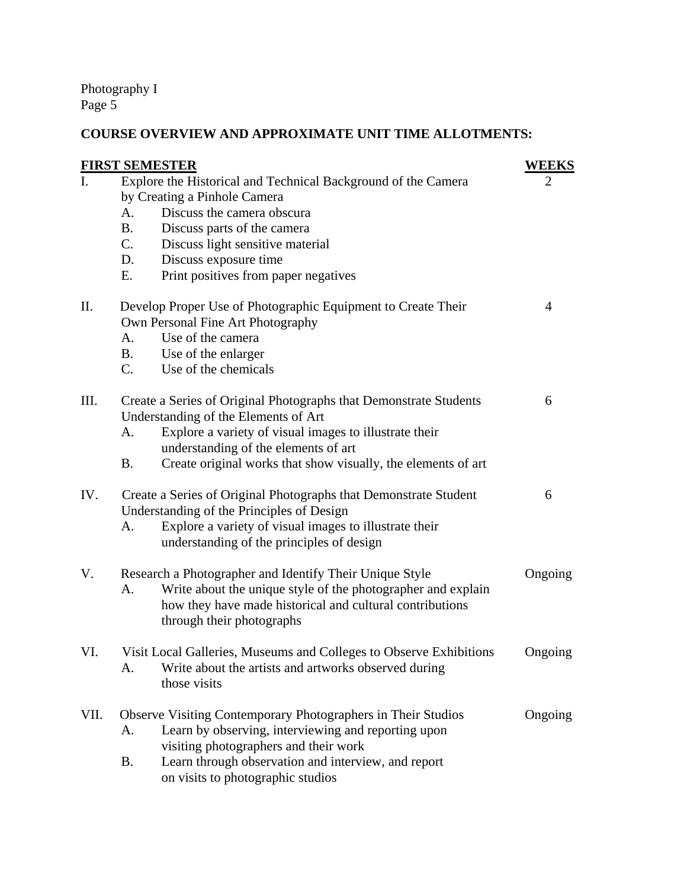# **COURSE OVERVIEW AND APPROXIMATE UNIT TIME ALLOTMENTS:**

|                | <b>FIRST SEMESTER</b>                                                                         | WEEKS   |
|----------------|-----------------------------------------------------------------------------------------------|---------|
| $\mathbf{I}$ . | Explore the Historical and Technical Background of the Camera<br>by Creating a Pinhole Camera | 2       |
|                | Discuss the camera obscura<br>A.                                                              |         |
|                | <b>B.</b><br>Discuss parts of the camera                                                      |         |
|                | $C_{\cdot}$<br>Discuss light sensitive material                                               |         |
|                | Discuss exposure time<br>D.                                                                   |         |
|                | Print positives from paper negatives<br>Ε.                                                    |         |
| II.            | Develop Proper Use of Photographic Equipment to Create Their                                  | 4       |
|                | Own Personal Fine Art Photography                                                             |         |
|                | Use of the camera<br>А.                                                                       |         |
|                | <b>B.</b><br>Use of the enlarger                                                              |         |
|                | $C_{\cdot}$<br>Use of the chemicals                                                           |         |
| III.           | Create a Series of Original Photographs that Demonstrate Students                             | 6       |
|                | Understanding of the Elements of Art                                                          |         |
|                | Explore a variety of visual images to illustrate their<br>А.                                  |         |
|                | understanding of the elements of art                                                          |         |
|                | Create original works that show visually, the elements of art<br><b>B.</b>                    |         |
| IV.            | Create a Series of Original Photographs that Demonstrate Student                              | 6       |
|                | Understanding of the Principles of Design                                                     |         |
|                | Explore a variety of visual images to illustrate their<br>А.                                  |         |
|                | understanding of the principles of design                                                     |         |
| V.             | Research a Photographer and Identify Their Unique Style                                       | Ongoing |
|                | Write about the unique style of the photographer and explain<br>A.                            |         |
|                | how they have made historical and cultural contributions                                      |         |
|                | through their photographs                                                                     |         |
| VI.            | Visit Local Galleries, Museums and Colleges to Observe Exhibitions                            | Ongoing |
|                | Write about the artists and artworks observed during<br>А.                                    |         |
|                | those visits                                                                                  |         |
| VII.           | Observe Visiting Contemporary Photographers in Their Studios                                  | Ongoing |
|                | Learn by observing, interviewing and reporting upon<br>А.                                     |         |
|                | visiting photographers and their work                                                         |         |
|                | Learn through observation and interview, and report<br>B.                                     |         |
|                | on visits to photographic studios                                                             |         |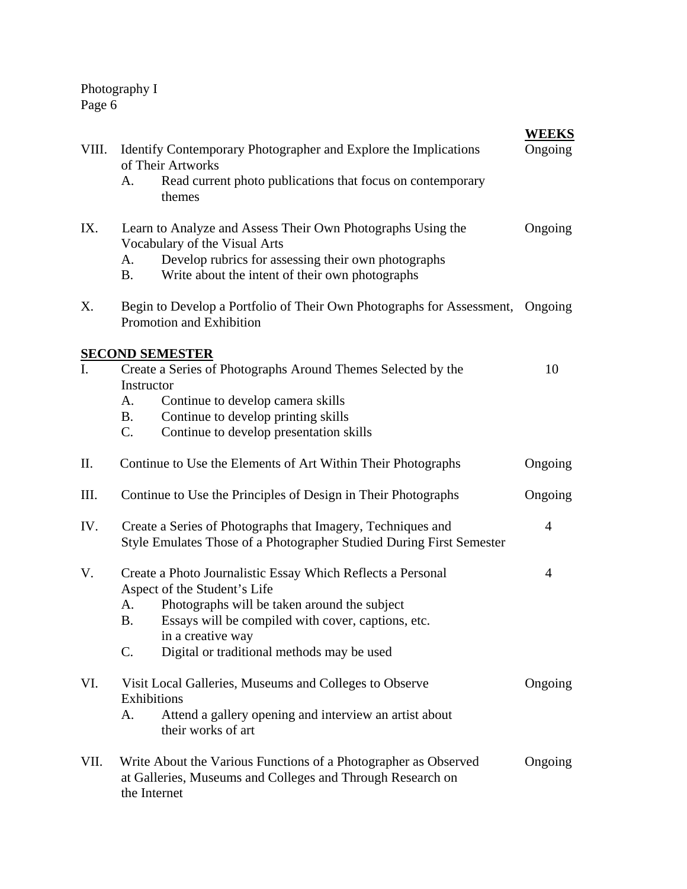| VIII.          | Identify Contemporary Photographer and Explore the Implications<br>of Their Artworks                                                                                                                                                                                                          | <b>WEEKS</b><br>Ongoing |
|----------------|-----------------------------------------------------------------------------------------------------------------------------------------------------------------------------------------------------------------------------------------------------------------------------------------------|-------------------------|
|                | Read current photo publications that focus on contemporary<br>А.<br>themes                                                                                                                                                                                                                    |                         |
| IX.            | Learn to Analyze and Assess Their Own Photographs Using the<br>Vocabulary of the Visual Arts<br>Develop rubrics for assessing their own photographs<br>А.<br><b>B.</b><br>Write about the intent of their own photographs                                                                     | Ongoing                 |
| Χ.             | Begin to Develop a Portfolio of Their Own Photographs for Assessment, Ongoing<br>Promotion and Exhibition                                                                                                                                                                                     |                         |
|                | <b>SECOND SEMESTER</b>                                                                                                                                                                                                                                                                        |                         |
| $\mathbf{I}$ . | Create a Series of Photographs Around Themes Selected by the<br>Instructor<br>Continue to develop camera skills<br>A.<br>Continue to develop printing skills<br><b>B.</b><br>Continue to develop presentation skills<br>$C_{\cdot}$                                                           | 10                      |
| Π.             | Continue to Use the Elements of Art Within Their Photographs                                                                                                                                                                                                                                  | Ongoing                 |
| III.           | Continue to Use the Principles of Design in Their Photographs                                                                                                                                                                                                                                 | Ongoing                 |
| IV.            | Create a Series of Photographs that Imagery, Techniques and<br>Style Emulates Those of a Photographer Studied During First Semester                                                                                                                                                           | $\overline{4}$          |
| V.             | Create a Photo Journalistic Essay Which Reflects a Personal<br>Aspect of the Student's Life<br>Photographs will be taken around the subject<br>A.<br>Essays will be compiled with cover, captions, etc.<br><b>B.</b><br>in a creative way<br>Digital or traditional methods may be used<br>C. | $\overline{4}$          |
| VI.            | Visit Local Galleries, Museums and Colleges to Observe<br>Exhibitions<br>Attend a gallery opening and interview an artist about<br>А.<br>their works of art                                                                                                                                   | Ongoing                 |
| VII.           | Write About the Various Functions of a Photographer as Observed<br>at Galleries, Museums and Colleges and Through Research on<br>the Internet                                                                                                                                                 | Ongoing                 |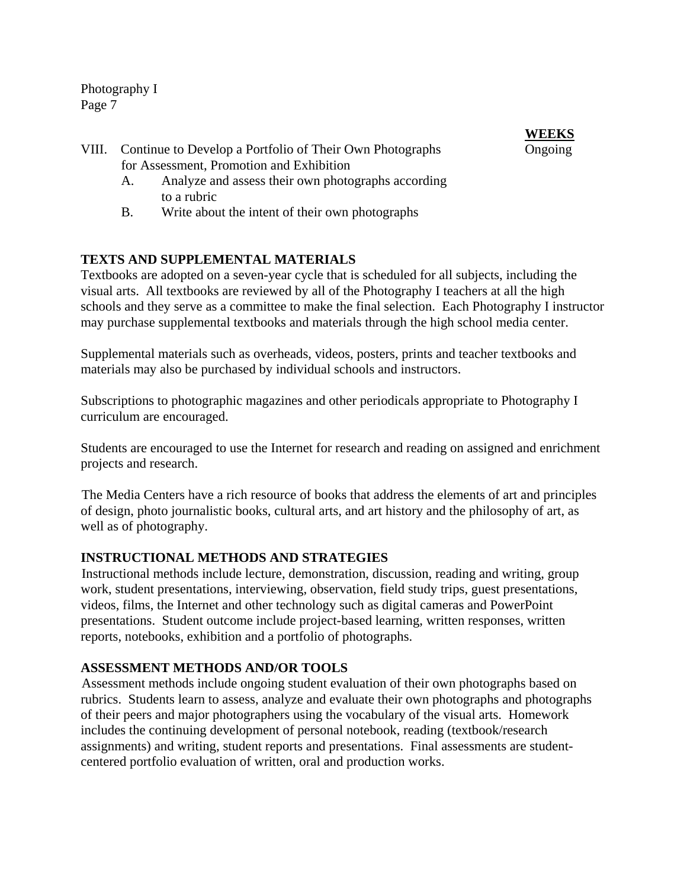- VIII. Continue to Develop a Portfolio of Their Own Photographs Ongoing for Assessment, Promotion and Exhibition
	- A. Analyze and assess their own photographs according to a rubric
	- B. Write about the intent of their own photographs

# **TEXTS AND SUPPLEMENTAL MATERIALS**

Textbooks are adopted on a seven-year cycle that is scheduled for all subjects, including the visual arts. All textbooks are reviewed by all of the Photography I teachers at all the high schools and they serve as a committee to make the final selection. Each Photography I instructor may purchase supplemental textbooks and materials through the high school media center.

 Supplemental materials such as overheads, videos, posters, prints and teacher textbooks and materials may also be purchased by individual schools and instructors.

**WEEKS**

 Subscriptions to photographic magazines and other periodicals appropriate to Photography I curriculum are encouraged.

 Students are encouraged to use the Internet for research and reading on assigned and enrichment projects and research.

 The Media Centers have a rich resource of books that address the elements of art and principles of design, photo journalistic books, cultural arts, and art history and the philosophy of art, as well as of photography.

# **INSTRUCTIONAL METHODS AND STRATEGIES**

 Instructional methods include lecture, demonstration, discussion, reading and writing, group work, student presentations, interviewing, observation, field study trips, guest presentations, videos, films, the Internet and other technology such as digital cameras and PowerPoint presentations. Student outcome include project-based learning, written responses, written reports, notebooks, exhibition and a portfolio of photographs.

## **ASSESSMENT METHODS AND/OR TOOLS**

 Assessment methods include ongoing student evaluation of their own photographs based on rubrics. Students learn to assess, analyze and evaluate their own photographs and photographs of their peers and major photographers using the vocabulary of the visual arts. Homework includes the continuing development of personal notebook, reading (textbook/research assignments) and writing, student reports and presentations. Final assessments are studentcentered portfolio evaluation of written, oral and production works.